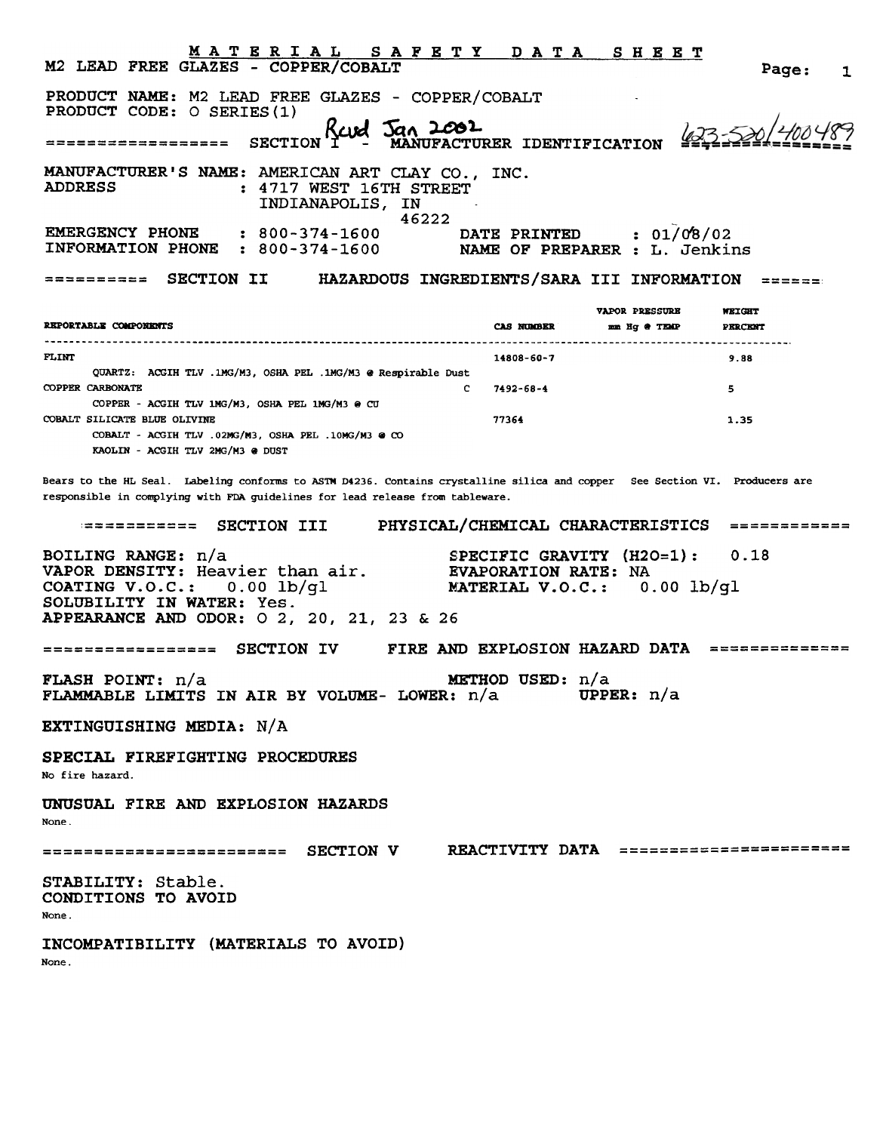| <u>MATERIAL SAFETY DATA SHEET</u><br>M2 LEAD FREE GLAZES - COPPER/COBALT                                                                                                                                     |                                                                                    |                                       | Page:                    | 1 |
|--------------------------------------------------------------------------------------------------------------------------------------------------------------------------------------------------------------|------------------------------------------------------------------------------------|---------------------------------------|--------------------------|---|
| PRODUCT NAME: M2 LEAD FREE GLAZES - COPPER/COBALT<br>PRODUCT CODE: O SERIES (1)                                                                                                                              |                                                                                    |                                       |                          |   |
| Revel Jan 2002<br><b>SECTION</b><br>==================                                                                                                                                                       |                                                                                    |                                       |                          |   |
| MANUFACTURER'S NAME: AMERICAN ART CLAY CO., INC.<br><b>ADDRESS</b><br>: 4717 WEST 16TH STREET<br>INDIANAPOLIS, IN<br>46222                                                                                   |                                                                                    |                                       |                          |   |
| <b>EMERGENCY PHONE</b><br>$: 800 - 374 - 1600$<br>INFORMATION PHONE<br>$: 800 - 374 - 1600$                                                                                                                  | DATE PRINTED : 01/08/02<br>NAME OF PREPARER : L. Jenkins                           |                                       |                          |   |
| <b>SECTION II</b><br>HAZARDOUS INGREDIENTS/SARA III INFORMATION<br>223832338 <b>6</b>                                                                                                                        |                                                                                    |                                       |                          |   |
| REPORTABLE COMPONENTS                                                                                                                                                                                        | <b>CAS NUMBER</b>                                                                  | <b>VAPOR PRESSURE</b><br>mm Hq @ TEMP | WEIGHT<br><b>PERCENT</b> |   |
| <b>FLINT</b>                                                                                                                                                                                                 | 14808-60-7                                                                         |                                       | 9.88                     |   |
| QUARTZ: ACGIH TLV .1MG/M3, OSHA PEL .1MG/M3 @ Respirable Dust<br><b>COPPER CARBONATE</b><br>C.                                                                                                               | 7492-68-4                                                                          |                                       | 5                        |   |
| COPPER - ACGIH TLV 1MG/M3, OSHA PEL 1MG/M3 @ CU<br>COBALT SILICATE BLUE OLIVINE<br>COBALT - ACGIH TLV .02MG/M3, OSHA PEL .10MG/M3 @ CO<br>KAOLIN - ACGIH TLV 2MG/M3 @ DUST                                   | 77364                                                                              |                                       | 1.35                     |   |
| Bears to the HL Seal. Labeling conforms to ASTM D4236. Contains crystalline silica and copper See Section VI. Producers are<br>responsible in complying with FDA guidelines for lead release from tableware. |                                                                                    |                                       |                          |   |
| SECTION III<br>;===========                                                                                                                                                                                  | PHYSICAL/CHEMICAL CHARACTERISTICS                                                  |                                       | $=$ ===========          |   |
| BOILING RANGE: n/a<br>VAPOR DENSITY: Heavier than air.<br>COATING V.O.C.: $0.00$ lb/ql<br>SOLUBILITY IN WATER: Yes.<br>APPEARANCE AND ODOR: 0 2, 20, 21, 23 & 26                                             | SPECIFIC GRAVITY $(H2O=1):$<br>EVAPORATION RATE: NA<br>MATERIAL V.O.C.: 0.00 lb/gl |                                       | 0.18                     |   |
| <b>FIRE AND EXPLOSION HAZARD DATA</b><br>SECTION IV<br>================                                                                                                                                      |                                                                                    |                                       | ==============           |   |
| <b>FLASH POINT:</b> n/a<br>FLAMMABLE LIMITS IN AIR BY VOLUME- LOWER: n/a                                                                                                                                     | METHOD USED: n/a                                                                   | <b>UPPER:</b> $n/a$                   |                          |   |
| EXTINGUISHING MEDIA: N/A                                                                                                                                                                                     |                                                                                    |                                       |                          |   |
| SPECIAL FIREFIGHTING PROCEDURES<br>No fire hazard.                                                                                                                                                           |                                                                                    |                                       |                          |   |
| UNUSUAL FIRE AND EXPLOSION HAZARDS<br>None.                                                                                                                                                                  |                                                                                    |                                       |                          |   |
| ============================ SECTION V REACTIVITY DATA =========================                                                                                                                             |                                                                                    |                                       |                          |   |
| STABILITY: Stable.<br>CONDITIONS TO AVOID<br>None.                                                                                                                                                           |                                                                                    |                                       |                          |   |
| INCOMPATIBILITY (MATERIALS TO AVOID)<br>None.                                                                                                                                                                |                                                                                    |                                       |                          |   |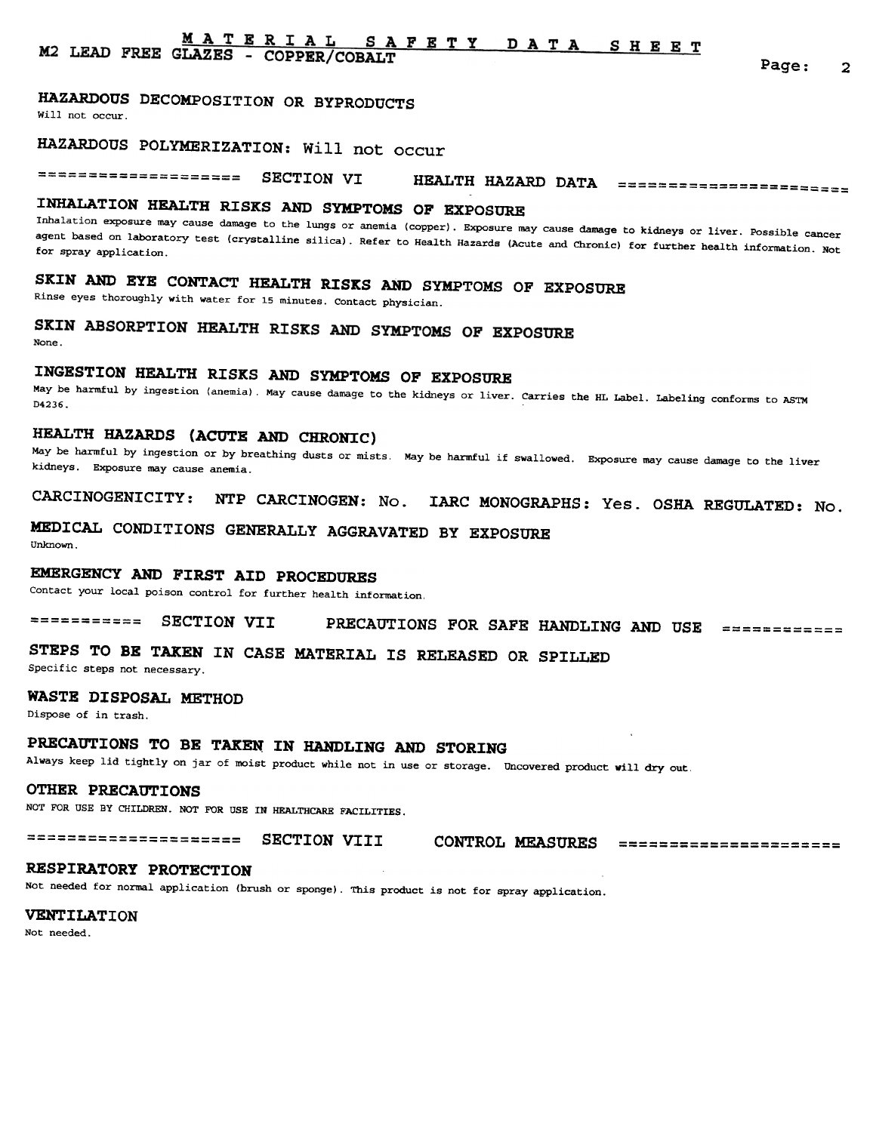#### <u>MATERIAL</u> SAFETY DATA SHEET M2 LEAD FREE GLAZES - COPPER/COBALT

Page: 2

## HAZARDOUS DECOMPOSITION OR BYPRODUCTS

Will not occur.

# HAZARDOUS POLYMERIZATION: Will not occur

==================== SECTION VI HEALTH HAZARD DATA =======================

# INHALATION HEALTH RISKS AND SYMPTOMS OF EXPOSURE

Inhalation exposure may cause damage to the lungs or anemia (copper). Exposure may cause damage to kidneys or liver. Possible cancer agent based on laboratory test (crystalline silica). Refer to Health Hazards (Acute and Chronic) for further health information. Not for spray application.

# SKIN AND EYE CONTACT HEALTH RISKS AND SYMPTOMS OF EXPOSURE

Rinse eyes thoroughly with water for 15 minutes. Contact physician.

### SKIN ABSORPTION HEALTH RISKS AND SYMPTOMS OF EXPOSURE None.

# INGESTION HEALTH RISKS AND SYMPTOMS OF EXPOSURE

May be harmful by ingestion (anemia). May cause damage to the kidneys or liver. Carries the HL Label. Labeling conforms to ASTM D4236.

### HEALTH HAZARDS (ACUTE AND CHRONIC)

May be harmful by ingestion or by breathing dusts or mists. May be harmful if swallowed. Exposure may cause damage to the liver kidneys. Exposure may cause anemia.

CARCINOGENICITY: NTP CARCINOGEN: No. IARC MONOGRAPHS: Yes. OSHA REGULATED: No.

### MEDICAL CONDITIONS GENERALLY AGGRAVATED BY EXPOSURE Unknown.

## EMERGENCY AND FIRST AID PROCEDURES

Contact your local poison control for further health information.

=========== SECTION VII PRECAUTIONS FOR SAFE HANDLING AND USE ====:========

# STEPS TO BE TAKEN IN CASE MATERIAL IS RELEASED OR SPILLED

Specific steps not necessary.

### WASTE DISPOSAL METHOD

Dispose of in trash.

# PRECAUTIONS TO BE TAKEN IN HANDLING AND STORING

Always keep lid tightly on jar of moist product while not in use or storage. Uncovered product will dry out.

### OTHER PRECAUTIONS

NOT FOR USE BY CHILDREN. NOT FOR USE IN HEALTHCARE FACILITIES.

===================== SECTION VIII CONTROL MEASURES

### RESPIRATORY PROTECTION

Not needed for normal application (brush or sponge). This product is not for spray application.

### VENTILATION

Not needed.